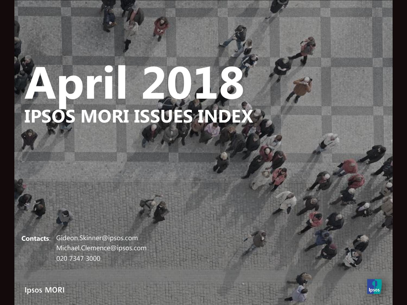# **April 2018 IPSOS MORI ISSUES INDEX**

**Contacts**: Gideon.Skinner@ipsos.com Michael.Clemence@ipsos.com 020 7347 3000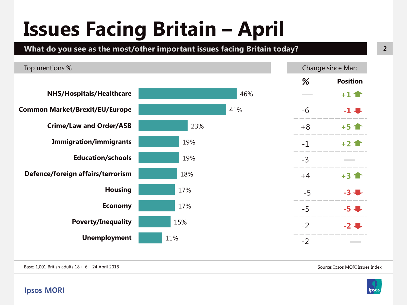## **Issues Facing Britain – April**

**What do you see as the most/other important issues facing Britain today?**



Base: 1,001 British adults 18+, 6 – 24 April 2018

Source: Ipsos MORI Issues Index

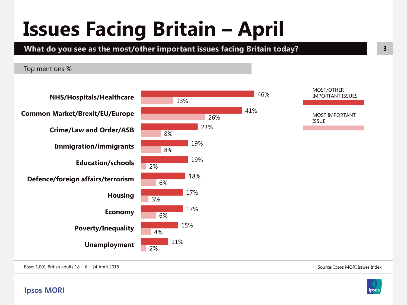## **Issues Facing Britain - April**

**What do you see as the most/other important issues facing Britain today?**

Top mentions %



IMPORTANT ISSUES

MOST IMPORTANT

Base: 1,001 British adults 18+, 6 – 24 April 2018

**Ipsos MORI** 



Source: Ipsos MORI Issues Index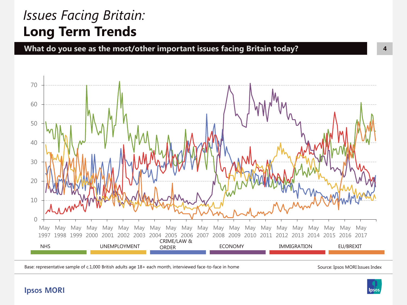### *Issues Facing Britain:*  **Long Term Trends**

**What do you see as the most/other important issues facing Britain today?**



Base: representative sample of c.1,000 British adults age 18+ each month, interviewed face-to-face in home

Source: Ipsos MORI Issues Index

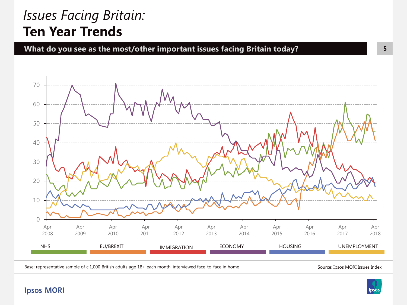### *Issues Facing Britain:*  **Ten Year Trends**





Base: representative sample of c.1,000 British adults age 18+ each month, interviewed face-to-face in home

Source: Ipsos MORI Issues Index

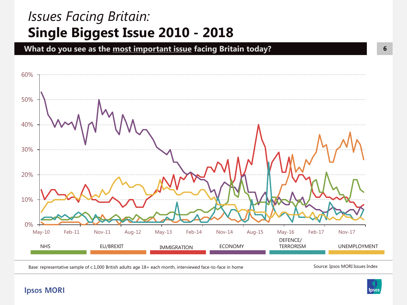### *Issues Facing Britain:* **Single Biggest Issue 2010 - 2018**

**What do you see as the most important issue facing Britain today?**



Base: representative sample of c.1,000 British adults age 18+ each month, interviewed face-to-face in home

Source: Ipsos MORI Issues Index

Ipsos

**6**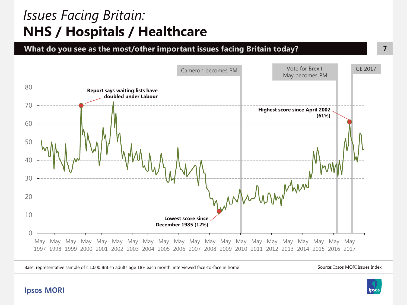### *Issues Facing Britain:*  **NHS / Hospitals / Healthcare**





Base: representative sample of c.1,000 British adults age 18+ each month, interviewed face-to-face in home Source: Ipsos MORI Issues Index



**7**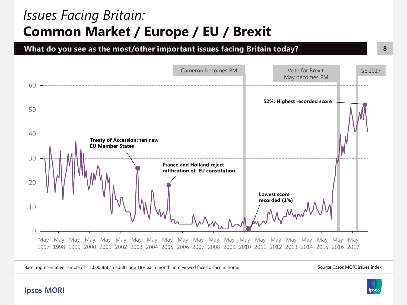### *Issues Facing Britain:*  **Common Market / Europe / EU / Brexit**

**What do you see as the most/other important issues facing Britain today?**



Base: representative sample of c.1,000 British adults age 18+ each month, interviewed face-to-face in home

Source: Ipsos MORI Issues Index

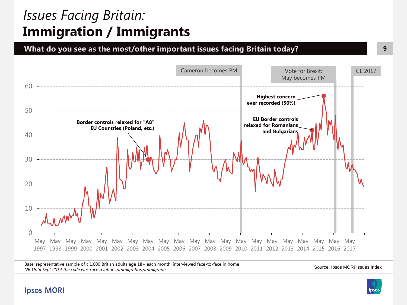### *Issues Facing Britain:*  **Immigration / Immigrants**

**What do you see as the most/other important issues facing Britain today?**



Base: representative sample of c.1,000 British adults age 18+ each month, interviewed face-to-face in home *NB Until Sept 2014 the code was race relations/immigration/immigrants* 

Source: Ipsos MORI Issues Index

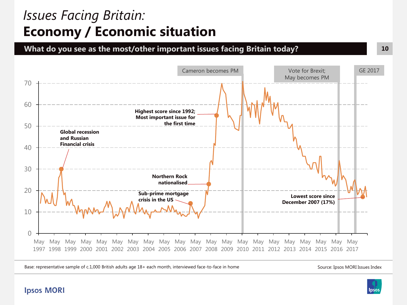### *Issues Facing Britain:*  **Economy / Economic situation**

**What do you see as the most/other important issues facing Britain today?**



Base: representative sample of c.1,000 British adults age 18+ each month, interviewed face-to-face in home

Source: Ipsos MORI Issues Index

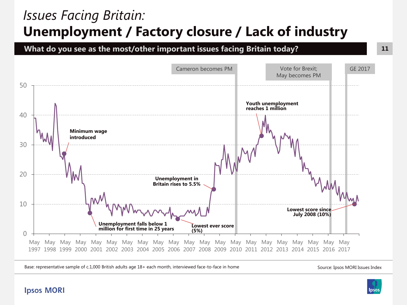### *Issues Facing Britain:*  **Unemployment / Factory closure / Lack of industry**

**What do you see as the most/other important issues facing Britain today?**



Base: representative sample of c.1,000 British adults age 18+ each month, interviewed face-to-face in home Source: Ipsos MORI Issues Index



**11**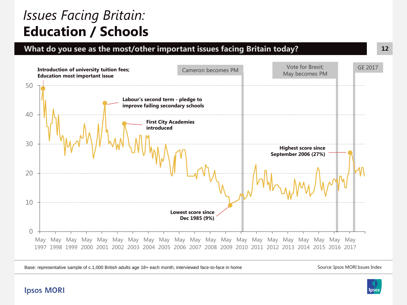### *Issues Facing Britain:*  **Education / Schools**

#### **What do you see as the most/other important issues facing Britain today?**



Base: representative sample of c.1,000 British adults age 18+ each month, interviewed face-to-face in home

Source: Ipsos MORI Issues Index

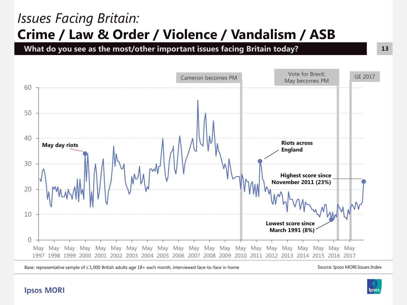### *Issues Facing Britain:*  **Crime / Law & Order / Violence / Vandalism / ASB**

**What do you see as the most/other important issues facing Britain today?**



Base: representative sample of c.1,000 British adults age 18+ each month, interviewed face-to-face in home

**Ipsos MORI** 

Source: Ipsos MORI Issues Index

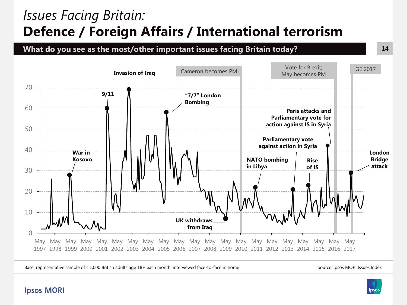### *Issues Facing Britain:*  **Defence / Foreign Affairs / International terrorism**

**What do you see as the most/other important issues facing Britain today?**



Base: representative sample of c.1,000 British adults age 18+ each month, interviewed face-to-face in home

Source: Ipsos MORI Issues Index

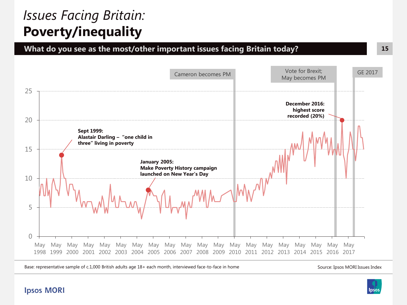### *Issues Facing Britain:*  **Poverty/inequality**





Base: representative sample of c.1,000 British adults age 18+ each month, interviewed face-to-face in home

Source: Ipsos MORI Issues Index

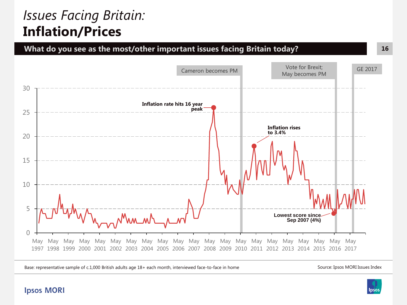### *Issues Facing Britain:*  **Inflation/Prices**



Base: representative sample of c.1,000 British adults age 18+ each month, interviewed face-to-face in home

Source: Ipsos MORI Issues Index



#### **Ipsos MORI**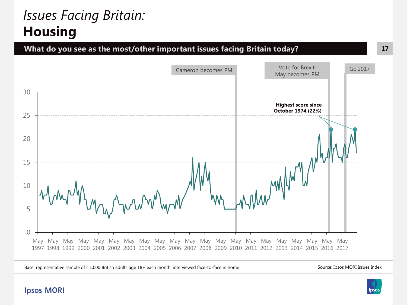### *Issues Facing Britain:*  **Housing**





Base: representative sample of c.1,000 British adults age 18+ each month, interviewed face-to-face in home

Source: Ipsos MORI Issues Index

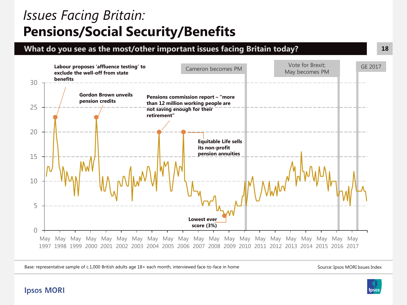### *Issues Facing Britain:*  **Pensions/Social Security/Benefits**

#### **What do you see as the most/other important issues facing Britain today?**



Base: representative sample of c.1,000 British adults age 18+ each month, interviewed face-to-face in home

Source: Ipsos MORI Issues Index

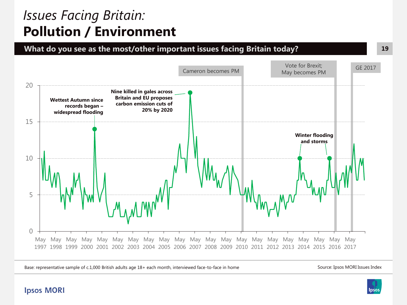### *Issues Facing Britain:*  **Pollution / Environment**



Base: representative sample of c.1,000 British adults age 18+ each month, interviewed face-to-face in home

Source: Ipsos MORI Issues Index

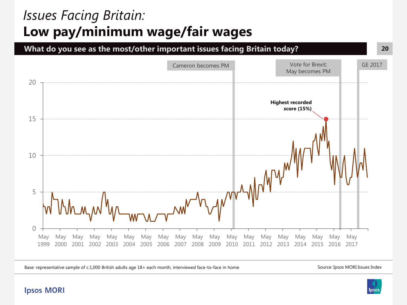### *Issues Facing Britain:*  **Low pay/minimum wage/fair wages**



Base: representative sample of c.1,000 British adults age 18+ each month, interviewed face-to-face in home

Source: Ipsos MORI Issues Index



#### **Ipsos MORI**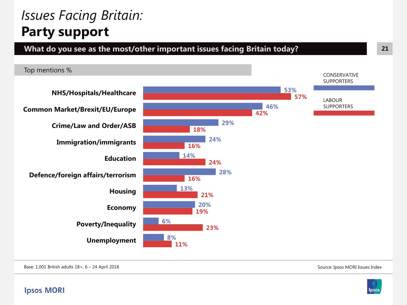### *Issues Facing Britain:* **Party support**



Base: 1,001 British adults 18+, 6 – 24 April 2018

Source: Ipsos MORI Issues Index

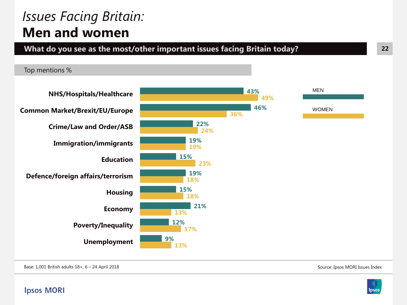### *Issues Facing Britain:* **Men and women**

Top mentions %

**What do you see as the most/other important issues facing Britain today?**

#### **43% 46% 22% 19% 15% 19% 15% 21% 12% 9% 49% 36% 24% 19% 23% 18% 18% 13% 17% 13% NHS/Hospitals/Healthcare Common Market/Brexit/EU/Europe Crime/Law and Order/ASB Immigration/immigrants Education Defence/foreign affairs/terrorism Housing Economy Poverty/Inequality Unemployment** MEN **WOMEN**

Base: 1,001 British adults 18+, 6 – 24 April 2018

Source: Ipsos MORI Issues Index

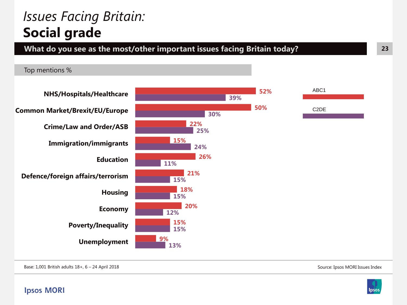### *Issues Facing Britain:* **Social grade**

#### **What do you see as the most/other important issues facing Britain today?**

Top mentions %



Source: Ipsos MORI Issues Index

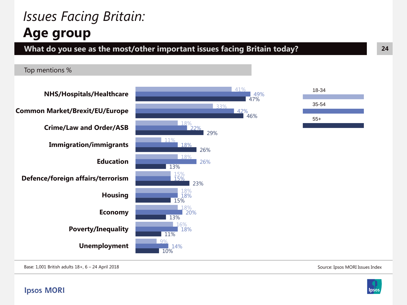### *Issues Facing Britain:* **Age group**

#### **What do you see as the most/other important issues facing Britain today?**

#### Top mentions %





49%

47%

46%

Base: 1,001 British adults 18+, 6 – 24 April 2018

**Ipsos MORI** 

Source: Ipsos MORI Issues Index

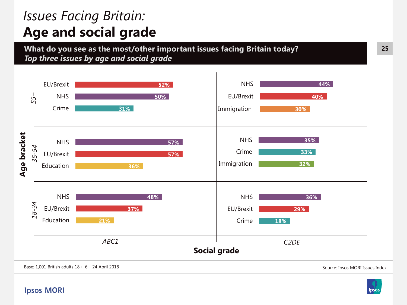### *Issues Facing Britain:* **Age and social grade**

**What do you see as the most/other important issues facing Britain today?**  *Top three issues by age and social grade*



Base: 1,001 British adults 18+, 6 – 24 April 2018

**Ipsos MORI** 

Source: Ipsos MORI Issues Index

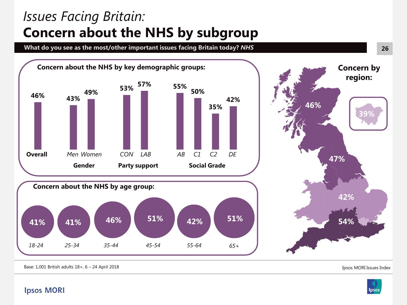### *Issues Facing Britain:* **Concern about the NHS by subgroup**

**What do you see as the most/other important issues facing Britain today?** *NHS*



Base: 1,001 British adults 18+, 6 – 24 April 2018

Ipsos MORI Issues Index

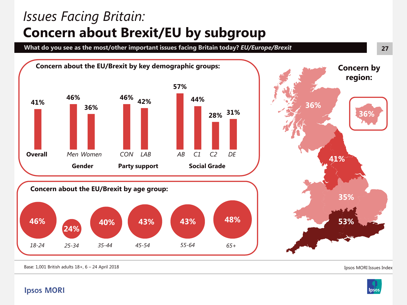### *Issues Facing Britain:* **Concern about Brexit/EU by subgroup**

**What do you see as the most/other important issues facing Britain today?** *EU/Europe/Brexit*



Base: 1,001 British adults 18+, 6 – 24 April 2018

Ipsos MORI Issues Index



**Ipsos MORI**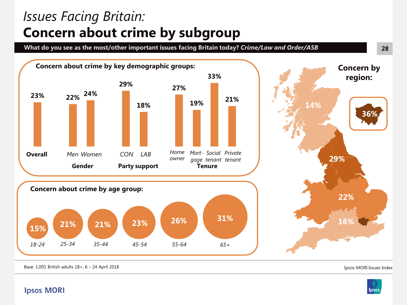### *Issues Facing Britain:* **Concern about crime by subgroup**

**What do you see as the most/other important issues facing Britain today?** *Crime/Law and Order/ASB*



Base: 1,001 British adults 18+, 6 – 24 April 2018

Ipsos MORI Issues Index



**28**